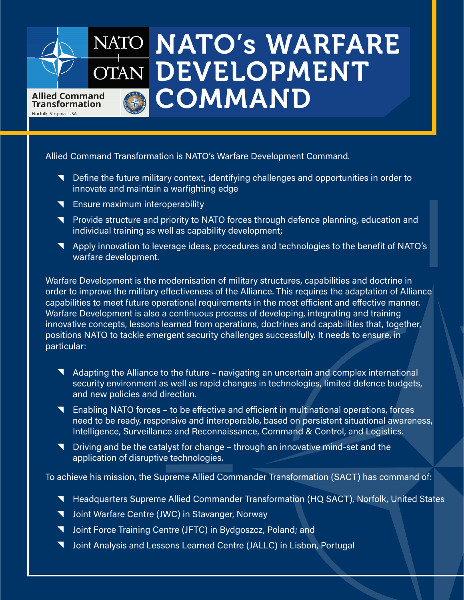## NATO **NATO's WARFARE** OTAN DEVELOPMENT **COMMAND** Allied Command **Transformation** Norfolk, Virginia | USA

Allied Command Transformation is NATO's Warfare Development Command.

- **N** Define the future military context, identifying challenges and opportunities in order to innovate and maintain a warfighting edge
- **T** Ensure maximum interoperability
- **N** Provide structure and priority to NATO forces through defence planning, education and individual training as well as capability development;
- Apply innovation to leverage ideas, procedures and technologies to the benefit of NATO's warfare development.

Warfare Development is the modernisation of military structures, capabilities and doctrine in order to improve the military effectiveness of the Alliance. This requires the adaptation of Alliance capabilities to meet future operational requirements in the most efficient and effective manner. Warfare Development is also a continuous process of developing, integrating and training innovative concepts, lessons learned from operations, doctrines and capabilities that, together, positions NATO to tackle emergent security challenges successfully. It needs to ensure, in particular:

- Adapting the Alliance to the future navigating an uncertain and complex international security environment as well as rapid changes in technologies, limited defence budgets, and new policies and direction.
- Enabling NATO forces to be effective and efficient in multinational operations, forces need to be ready, responsive and interoperable, based on persistent situational awareness, Intelligence, Surveillance and Reconnaissance, Command & Control, and Logistics.
- Driving and be the catalyst for change through an innovative mind-set and the application of disruptive technologies.

To achieve his mission, the Supreme Allied Commander Transformation (SACT) has command of:

- **N** Headquarters Supreme Allied Commander Transformation (HQ SACT), Norfolk, United States
- **V** Joint Warfare Centre (JWC) in Stavanger, Norway
- **V** Joint Force Training Centre (JFTC) in Bydgoszcz, Poland; and
- **V** Joint Analysis and Lessons Learned Centre (JALLC) in Lisbon, Portugal